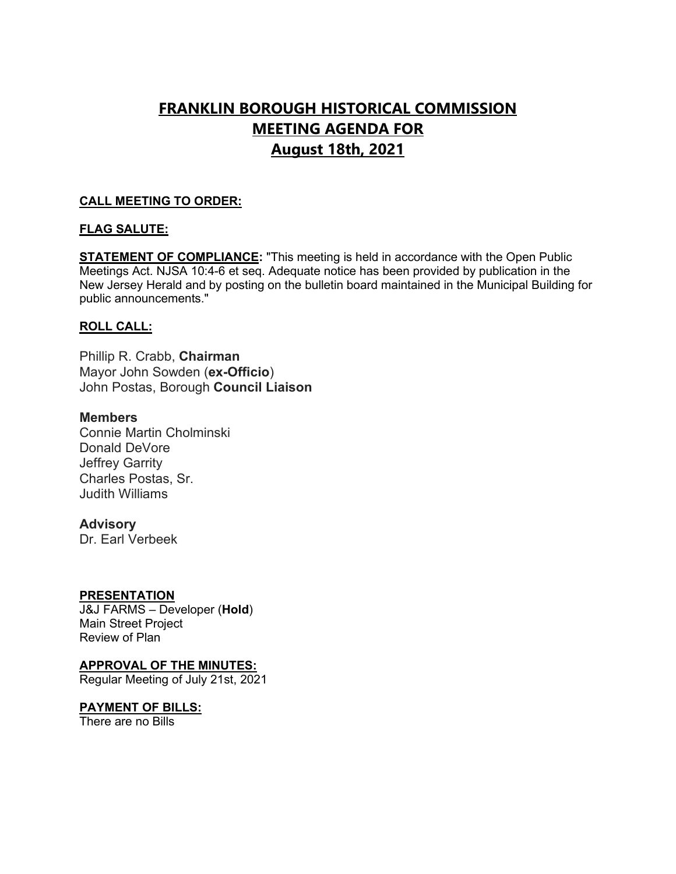# **FRANKLIN BOROUGH HISTORICAL COMMISSION MEETING AGENDA FOR August 18th, 2021**

# **CALL MEETING TO ORDER:**

# **FLAG SALUTE:**

**STATEMENT OF COMPLIANCE:** "This meeting is held in accordance with the Open Public Meetings Act. NJSA 10:4-6 et seq. Adequate notice has been provided by publication in the New Jersey Herald and by posting on the bulletin board maintained in the Municipal Building for public announcements."

# **ROLL CALL:**

Phillip R. Crabb, **Chairman** Mayor John Sowden (**ex-Officio**) John Postas, Borough **Council Liaison**

# **Members**

Connie Martin Cholminski Donald DeVore Jeffrey Garrity Charles Postas, Sr. Judith Williams

# **Advisory**

Dr. Earl Verbeek

# **PRESENTATION**

J&J FARMS – Developer (**Hold**) Main Street Project Review of Plan

# **APPROVAL OF THE MINUTES:**

Regular Meeting of July 21st, 2021

# **PAYMENT OF BILLS:**

There are no Bills